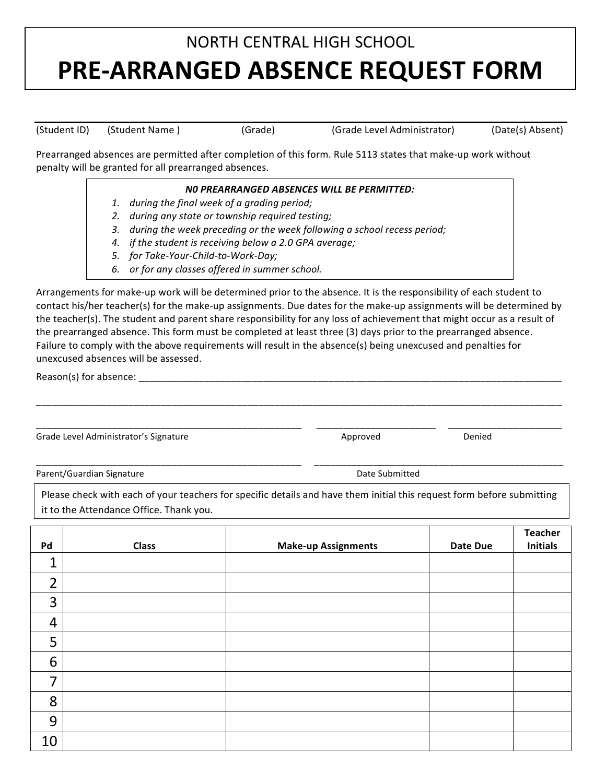## NORTH CENTRAL HIGH SCHOOL **PRE-ARRANGED ABSENCE REQUEST FORM**

(Student ID) (Student Name) (Grade) (Grade Level Administrator) (Date(s) Absent)

Prearranged absences are permitted after completion of this form. Rule 5113 states that make-up work without penalty will be granted for all prearranged absences.

## **NO PREARRANGED ABSENCES WILL BE PERMITTED:** 1. *during the final week of a grading period;* 2. during any state or township required testing; 3. *during the week preceding or the week following a school recess period;* 4. *if the student is receiving below a 2.0 GPA average;* 5. for Take-Your-Child-to-Work-Day; 6. or for any classes offered in summer school.

Arrangements for make-up work will be determined prior to the absence. It is the responsibility of each student to contact his/her teacher(s) for the make-up assignments. Due dates for the make-up assignments will be determined by the teacher(s). The student and parent share responsibility for any loss of achievement that might occur as a result of the prearranged absence. This form must be completed at least three (3) days prior to the prearranged absence. Failure to comply with the above requirements will result in the absence(s) being unexcused and penalties for unexcused absences will be assessed.

\_\_\_\_\_\_\_\_\_\_\_\_\_\_\_\_\_\_\_\_\_\_\_\_\_\_\_\_\_\_\_\_\_\_\_\_\_\_\_\_\_\_\_\_\_\_\_\_\_\_\_\_\_\_\_\_\_\_\_\_\_\_\_\_\_\_\_\_\_\_\_\_\_\_\_\_\_\_\_\_\_\_\_\_\_\_\_\_\_\_\_\_\_\_\_\_\_

\_\_\_\_\_\_\_\_\_\_\_\_\_\_\_\_\_\_\_\_\_\_\_\_\_\_\_\_\_\_\_\_\_\_\_\_\_\_\_\_\_\_\_\_\_\_\_\_\_ 

 \_\_\_\_\_\_\_\_\_\_\_\_\_\_\_\_\_\_\_\_\_\_ 

 \_\_\_\_\_\_\_\_\_\_\_\_\_\_\_\_\_\_\_\_\_

\_\_\_\_\_\_\_\_\_\_\_\_\_\_\_\_\_\_\_\_\_\_\_\_\_\_\_\_\_\_\_\_\_\_\_\_\_\_\_\_\_\_\_\_\_\_\_\_\_ 

 \_\_\_\_\_\_\_\_\_\_\_\_\_\_\_\_\_\_\_\_\_\_\_\_\_\_\_\_\_\_\_\_\_\_\_\_\_\_\_\_\_\_\_\_\_\_

Reason(s) for absence:

Grade Level Administrator's Signature and American control of the Approved Change of Denied

Parent/Guardian Signature and the submitted of the submitted of the submitted of the submitted of the submitted

Please check with each of your teachers for specific details and have them initial this request form before submitting it to the Attendance Office. Thank you.

|                |              |                            |                 | <b>Teacher</b>  |
|----------------|--------------|----------------------------|-----------------|-----------------|
| Pd             | <b>Class</b> | <b>Make-up Assignments</b> | <b>Date Due</b> | <b>Initials</b> |
| $\mathbf 1$    |              |                            |                 |                 |
| $\overline{2}$ |              |                            |                 |                 |
| 3              |              |                            |                 |                 |
| $\overline{4}$ |              |                            |                 |                 |
| 5              |              |                            |                 |                 |
| 6              |              |                            |                 |                 |
| 7              |              |                            |                 |                 |
| 8              |              |                            |                 |                 |
| 9              |              |                            |                 |                 |
| 10             |              |                            |                 |                 |